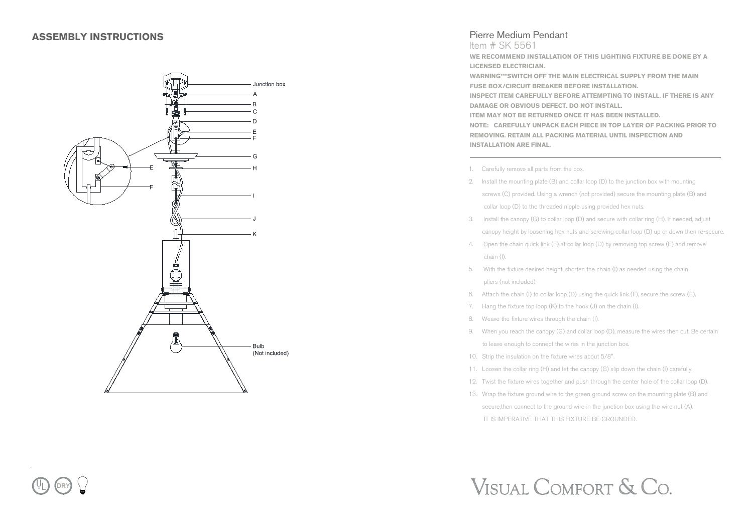

## Pierre Medium Pendant

Item # SK 5561

**WE RECOMMEND INSTALLATION OF THIS LIGHTING FIXTURE BE DONE BY A LICENSED ELECTRICIAN. WARNING\*\*\*SWITCH OFF THE MAIN ELECTRICAL SUPPLY FROM THE MAIN FUSE BOX/CIRCUIT BREAKER BEFORE INSTALLATION. INSPECT ITEM CAREFULLY BEFORE ATTEMPTING TO INSTALL. IF THERE IS ANY DAMAGE OR OBVIOUS DEFECT. DO NOT INSTALL. ITEM MAY NOT BE RETURNED ONCE IT HAS BEEN INSTALLED.**

**NOTE: CAREFULLY UNPACK EACH PIECE IN TOP LAYER OF PACKING PRIOR TO REMOVING. RETAIN ALL PACKING MATERIAL UNTIL INSPECTION AND INSTALLATION ARE FINAL.**

- 1. Carefully remove all parts from the box.
- 2. Install the mounting plate (B) and collar loop (D) to the junction box with mounting screws (C) provided. Using a wrench (not provided) secure the mounting plate (B) and collar loop (D) to the threaded nipple using provided hex nuts.
- 3. Install the canopy (G) to collar loop (D) and secure with collar ring (H). If needed, adjust canopy height by loosening hex nuts and screwing collar loop (D) up or down then re-secure.
- 4. Open the chain quick link (F) at collar loop (D) by removing top screw (E) and remove chain (I).
- 5. With the fixture desired height, shorten the chain (I) as needed using the chain pliers (not included).
- 6. Attach the chain (I) to collar loop (D) using the quick link (F), secure the screw (E).
- 7. Hang the fixture top loop (K) to the hook (J) on the chain (I).
- 8. Weave the fixture wires through the chain (I).
- 9. When you reach the canopy (G) and collar loop (D), measure the wires then cut. Be certain to leave enough to connect the wires in the junction box.
- 10. Strip the insulation on the fixture wires about 5/8".
- 11. Loosen the collar ring (H) and let the canopy (G) slip down the chain (I) carefully.
- 12. Twist the fixture wires together and push through the center hole of the collar loop (D).
- 13. Wrap the fixture ground wire to the green ground screw on the mounting plate (B) and secure, then connect to the ground wire in the junction box using the wire nut (A). IT IS IMPERATIVE THAT THIS FIXTURE BE GROUNDED.

## VISUAL COMFORT & CO.